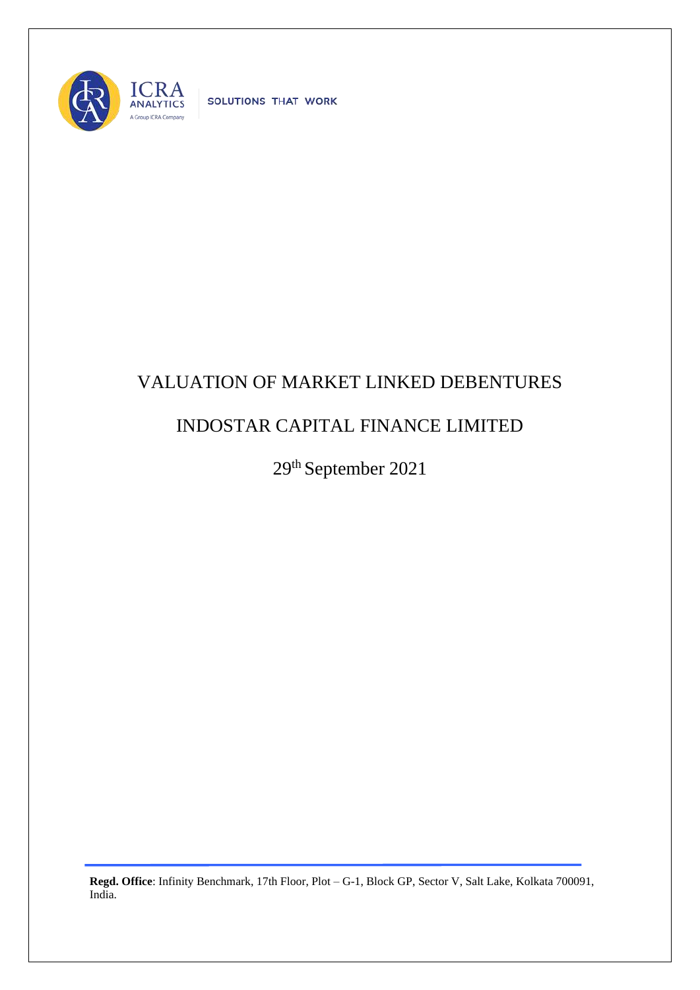

SOLUTIONS THAT WORK

## VALUATION OF MARKET LINKED DEBENTURES

## INDOSTAR CAPITAL FINANCE LIMITED

29th September 2021

**Regd. Office**: Infinity Benchmark, 17th Floor, Plot – G-1, Block GP, Sector V, Salt Lake, Kolkata 700091, India.